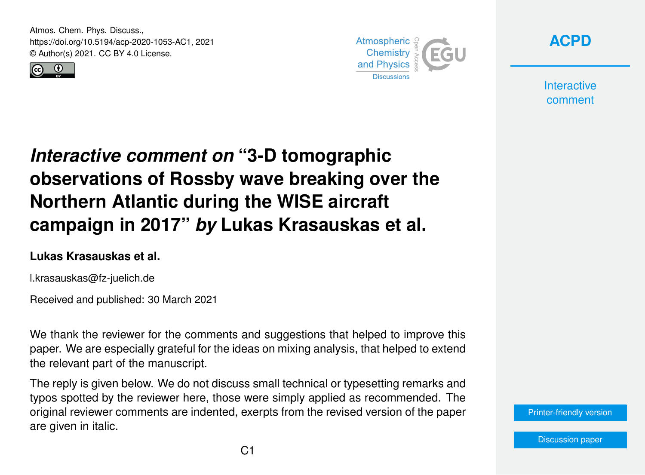Atmos. Chem. Phys. Discuss., https://doi.org/10.5194/acp-2020-1053-AC1, 2021 © Author(s) 2021. CC BY 4.0 License.





**[ACPD](https://acp.copernicus.org/preprints/)**

**Interactive** comment

# *Interactive comment on* **"3-D tomographic observations of Rossby wave breaking over the Northern Atlantic during the WISE aircraft campaign in 2017"** *by* **Lukas Krasauskas et al.**

#### **Lukas Krasauskas et al.**

l.krasauskas@fz-juelich.de

Received and published: 30 March 2021

We thank the reviewer for the comments and suggestions that helped to improve this paper. We are especially grateful for the ideas on mixing analysis, that helped to extend the relevant part of the manuscript.

The reply is given below. We do not discuss small technical or typesetting remarks and typos spotted by the reviewer here, those were simply applied as recommended. The original reviewer comments are indented, exerpts from the revised version of the paper are given in italic.

[Printer-friendly version](https://acp.copernicus.org/preprints/acp-2020-1053/acp-2020-1053-AC1-print.pdf)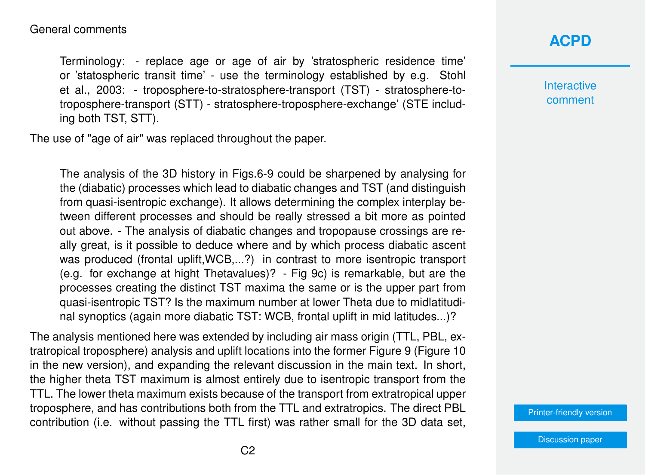Terminology: - replace age or age of air by 'stratospheric residence time' or 'statospheric transit time' - use the terminology established by e.g. Stohl et al., 2003: - troposphere-to-stratosphere-transport (TST) - stratosphere-totroposphere-transport (STT) - stratosphere-troposphere-exchange' (STE including both TST, STT).

The use of "age of air" was replaced throughout the paper.

The analysis of the 3D history in Figs.6-9 could be sharpened by analysing for the (diabatic) processes which lead to diabatic changes and TST (and distinguish from quasi-isentropic exchange). It allows determining the complex interplay between different processes and should be really stressed a bit more as pointed out above. - The analysis of diabatic changes and tropopause crossings are really great, is it possible to deduce where and by which process diabatic ascent was produced (frontal uplift,WCB,...?) in contrast to more isentropic transport (e.g. for exchange at hight Thetavalues)? - Fig 9c) is remarkable, but are the processes creating the distinct TST maxima the same or is the upper part from quasi-isentropic TST? Is the maximum number at lower Theta due to midlatitudinal synoptics (again more diabatic TST: WCB, frontal uplift in mid latitudes...)?

The analysis mentioned here was extended by including air mass origin (TTL, PBL, extratropical troposphere) analysis and uplift locations into the former Figure 9 (Figure 10 in the new version), and expanding the relevant discussion in the main text. In short, the higher theta TST maximum is almost entirely due to isentropic transport from the TTL. The lower theta maximum exists because of the transport from extratropical upper troposphere, and has contributions both from the TTL and extratropics. The direct PBL contribution (i.e. without passing the TTL first) was rather small for the 3D data set,

## **[ACPD](https://acp.copernicus.org/preprints/)**

**Interactive** comment

[Printer-friendly version](https://acp.copernicus.org/preprints/acp-2020-1053/acp-2020-1053-AC1-print.pdf)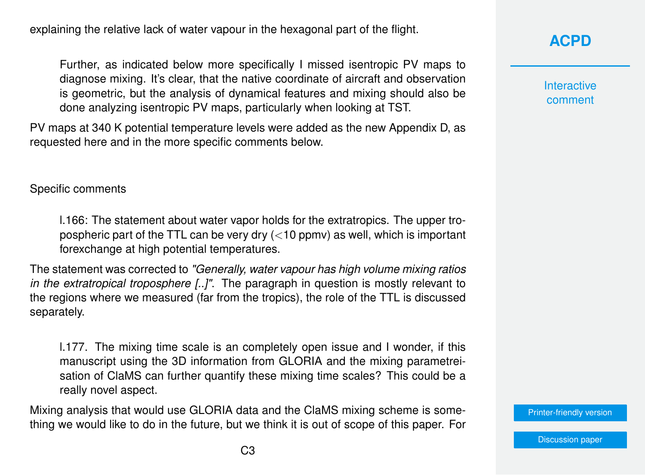explaining the relative lack of water vapour in the hexagonal part of the flight.

Further, as indicated below more specifically I missed isentropic PV maps to diagnose mixing. It's clear, that the native coordinate of aircraft and observation is geometric, but the analysis of dynamical features and mixing should also be done analyzing isentropic PV maps, particularly when looking at TST.

PV maps at 340 K potential temperature levels were added as the new Appendix D, as requested here and in the more specific comments below.

#### Specific comments

l.166: The statement about water vapor holds for the extratropics. The upper tropospheric part of the TTL can be very dry  $\left($  < 10 ppmv) as well, which is important forexchange at high potential temperatures.

The statement was corrected to *"Generally, water vapour has high volume mixing ratios in the extratropical troposphere [..]"*. The paragraph in question is mostly relevant to the regions where we measured (far from the tropics), the role of the TTL is discussed separately.

l.177. The mixing time scale is an completely open issue and I wonder, if this manuscript using the 3D information from GLORIA and the mixing parametreisation of ClaMS can further quantify these mixing time scales? This could be a really novel aspect.

Mixing analysis that would use GLORIA data and the ClaMS mixing scheme is something we would like to do in the future, but we think it is out of scope of this paper. For

### **[ACPD](https://acp.copernicus.org/preprints/)**

**Interactive** comment

[Printer-friendly version](https://acp.copernicus.org/preprints/acp-2020-1053/acp-2020-1053-AC1-print.pdf)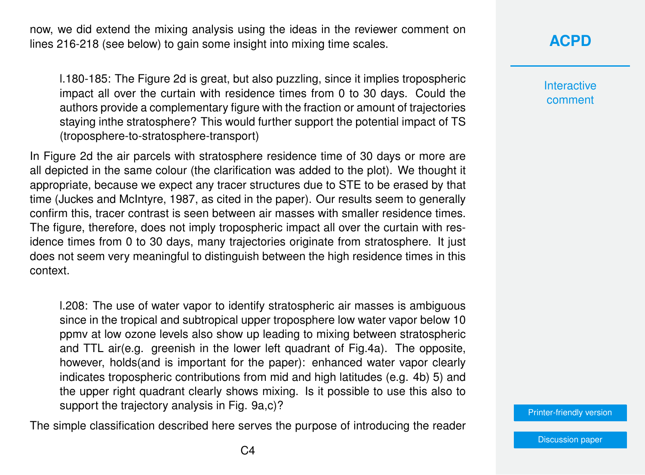now, we did extend the mixing analysis using the ideas in the reviewer comment on lines 216-218 (see below) to gain some insight into mixing time scales.

l.180-185: The Figure 2d is great, but also puzzling, since it implies tropospheric impact all over the curtain with residence times from 0 to 30 days. Could the authors provide a complementary figure with the fraction or amount of trajectories staying inthe stratosphere? This would further support the potential impact of TS (troposphere-to-stratosphere-transport)

In Figure 2d the air parcels with stratosphere residence time of 30 days or more are all depicted in the same colour (the clarification was added to the plot). We thought it appropriate, because we expect any tracer structures due to STE to be erased by that time (Juckes and McIntyre, 1987, as cited in the paper). Our results seem to generally confirm this, tracer contrast is seen between air masses with smaller residence times. The figure, therefore, does not imply tropospheric impact all over the curtain with residence times from 0 to 30 days, many trajectories originate from stratosphere. It just does not seem very meaningful to distinguish between the high residence times in this context.

l.208: The use of water vapor to identify stratospheric air masses is ambiguous since in the tropical and subtropical upper troposphere low water vapor below 10 ppmv at low ozone levels also show up leading to mixing between stratospheric and TTL air(e.g. greenish in the lower left quadrant of Fig.4a). The opposite, however, holds(and is important for the paper): enhanced water vapor clearly indicates tropospheric contributions from mid and high latitudes (e.g. 4b) 5) and the upper right quadrant clearly shows mixing. Is it possible to use this also to support the trajectory analysis in Fig. 9a,c)?

The simple classification described here serves the purpose of introducing the reader

#### **[ACPD](https://acp.copernicus.org/preprints/)**

**Interactive** comment

[Printer-friendly version](https://acp.copernicus.org/preprints/acp-2020-1053/acp-2020-1053-AC1-print.pdf)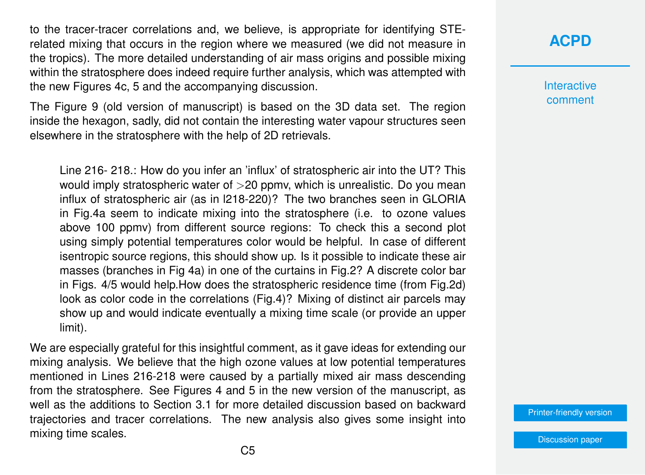to the tracer-tracer correlations and, we believe, is appropriate for identifying STErelated mixing that occurs in the region where we measured (we did not measure in the tropics). The more detailed understanding of air mass origins and possible mixing within the stratosphere does indeed require further analysis, which was attempted with the new Figures 4c, 5 and the accompanying discussion.

The Figure 9 (old version of manuscript) is based on the 3D data set. The region inside the hexagon, sadly, did not contain the interesting water vapour structures seen elsewhere in the stratosphere with the help of 2D retrievals.

Line 216- 218.: How do you infer an 'influx' of stratospheric air into the UT? This would imply stratospheric water of >20 ppmv, which is unrealistic. Do you mean influx of stratospheric air (as in l218-220)? The two branches seen in GLORIA in Fig.4a seem to indicate mixing into the stratosphere (i.e. to ozone values above 100 ppmv) from different source regions: To check this a second plot using simply potential temperatures color would be helpful. In case of different isentropic source regions, this should show up. Is it possible to indicate these air masses (branches in Fig 4a) in one of the curtains in Fig.2? A discrete color bar in Figs. 4/5 would help.How does the stratospheric residence time (from Fig.2d) look as color code in the correlations (Fig.4)? Mixing of distinct air parcels may show up and would indicate eventually a mixing time scale (or provide an upper limit).

We are especially grateful for this insightful comment, as it gave ideas for extending our mixing analysis. We believe that the high ozone values at low potential temperatures mentioned in Lines 216-218 were caused by a partially mixed air mass descending from the stratosphere. See Figures 4 and 5 in the new version of the manuscript, as well as the additions to Section 3.1 for more detailed discussion based on backward trajectories and tracer correlations. The new analysis also gives some insight into mixing time scales.

#### **[ACPD](https://acp.copernicus.org/preprints/)**

**Interactive** comment

[Printer-friendly version](https://acp.copernicus.org/preprints/acp-2020-1053/acp-2020-1053-AC1-print.pdf)